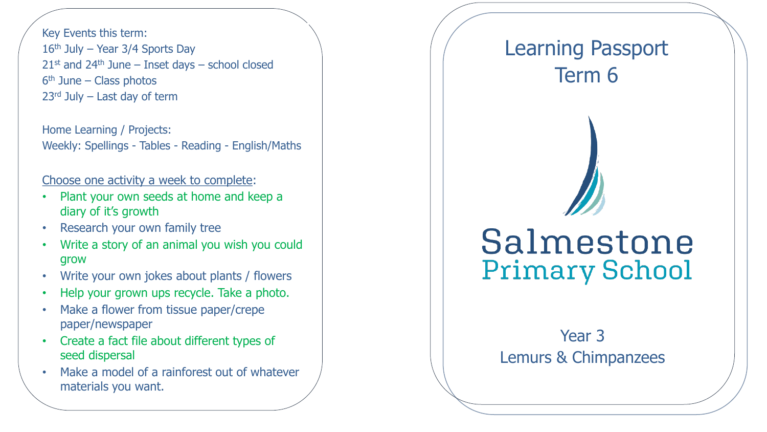Key Events this term: 16<sup>th</sup> July - Year 3/4 Sports Day  $21$ <sup>st</sup> and  $24$ <sup>th</sup> June – Inset days – school closed 6 th June – Class photos 23rd July – Last day of term

Home Learning / Projects: Weekly: Spellings - Tables - Reading - English/Maths

## Choose one activity a week to complete:

- Plant your own seeds at home and keep a diary of it's growth
- Research your own family tree
- Write a story of an animal you wish you could grow
- Write your own jokes about plants / flowers
- Help your grown ups recycle. Take a photo.
- Make a flower from tissue paper/crepe paper/newspaper
- Create a fact file about different types of seed dispersal
- Make a model of a rainforest out of whatever materials you want.

## Learning Passport Term 6

## Salmestone **Primary School**

Year 3 Lemurs & Chimpanzees